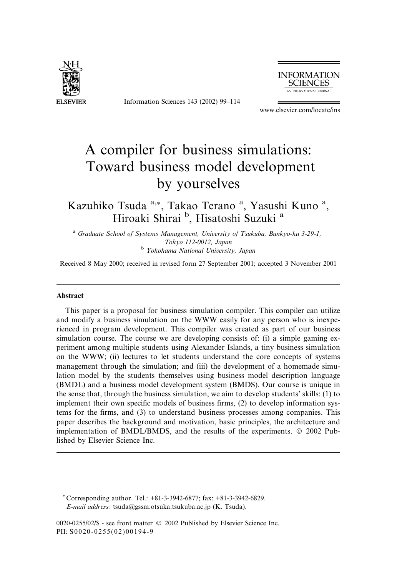

Information Sciences 143 (2002) 99–114



www.elsevier.com/locate/ins

# A compiler for business simulations: Toward business model development by yourselves

Kazuhiko Tsuda a,\*, Takao Terano <sup>a</sup>, Yasushi Kuno <sup>a</sup>, Hiroaki Shirai <sup>b</sup>, Hisatoshi Suzuki<sup>a</sup>

<sup>a</sup> Graduate School of Systems Management, University of Tsukuba, Bunkyo-ku 3-29-1, Tokyo 112-0012, Japan <sup>b</sup> Yokohama National University, Japan

Received 8 May 2000; received in revised form 27 September 2001; accepted 3 November 2001

#### Abstract

This paper is a proposal for business simulation compiler. This compiler can utilize and modify a business simulation on the WWW easily for any person who is inexperienced in program development. This compiler was created as part of our business simulation course. The course we are developing consists of: (i) a simple gaming experiment among multiple students using Alexander Islands, a tiny business simulation on the WWW; (ii) lectures to let students understand the core concepts of systems management through the simulation; and (iii) the development of a homemade simulation model by the students themselves using business model description language (BMDL) and a business model development system (BMDS). Our course is unique in the sense that, through the business simulation, we aim to develop students' skills: (1) to implement their own specific models of business firms, (2) to develop information systems for the firms, and (3) to understand business processes among companies. This paper describes the background and motivation, basic principles, the architecture and implementation of BMDL/BMDS, and the results of the experiments.  $© 2002$  Published by Elsevier Science Inc.

\* Corresponding author. Tel.: +81-3-3942-6877; fax: +81-3-3942-6829. E-mail address: tsuda@gssm.otsuka.tsukuba.ac.jp (K. Tsuda).

<sup>0020-0255/02/\$ -</sup> see front matter 2002 Published by Elsevier Science Inc. PII: S0020-0255(02)00194-9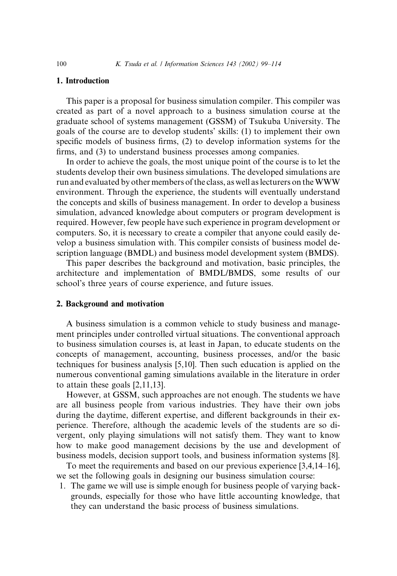### 1. Introduction

This paper is a proposal for business simulation compiler. This compiler was created as part of a novel approach to a business simulation course at the graduate school of systems management (GSSM) of Tsukuba University. The goals of the course are to develop students' skills: (1) to implement their own specific models of business firms, (2) to develop information systems for the firms, and (3) to understand business processes among companies.

In order to achieve the goals, the most unique point of the course is to let the students develop their own business simulations. The developed simulations are run and evaluated by other members of the class, as well as lecturers on theWWW environment. Through the experience, the students will eventually understand the concepts and skills of business management. In order to develop a business simulation, advanced knowledge about computers or program development is required. However, few people have such experience in program development or computers. So, it is necessary to create a compiler that anyone could easily develop a business simulation with. This compiler consists of business model description language (BMDL) and business model development system (BMDS).

This paper describes the background and motivation, basic principles, the architecture and implementation of BMDL/BMDS, some results of our school's three years of course experience, and future issues.

#### 2. Background and motivation

A business simulation is a common vehicle to study business and management principles under controlled virtual situations. The conventional approach to business simulation courses is, at least in Japan, to educate students on the concepts of management, accounting, business processes, and/or the basic techniques for business analysis [5,10]. Then such education is applied on the numerous conventional gaming simulations available in the literature in order to attain these goals [2,11,13].

However, at GSSM, such approaches are not enough. The students we have are all business people from various industries. They have their own jobs during the daytime, different expertise, and different backgrounds in their experience. Therefore, although the academic levels of the students are so divergent, only playing simulations will not satisfy them. They want to know how to make good management decisions by the use and development of business models, decision support tools, and business information systems [8].

To meet the requirements and based on our previous experience [3,4,14–16], we set the following goals in designing our business simulation course:

1. The game we will use is simple enough for business people of varying backgrounds, especially for those who have little accounting knowledge, that they can understand the basic process of business simulations.